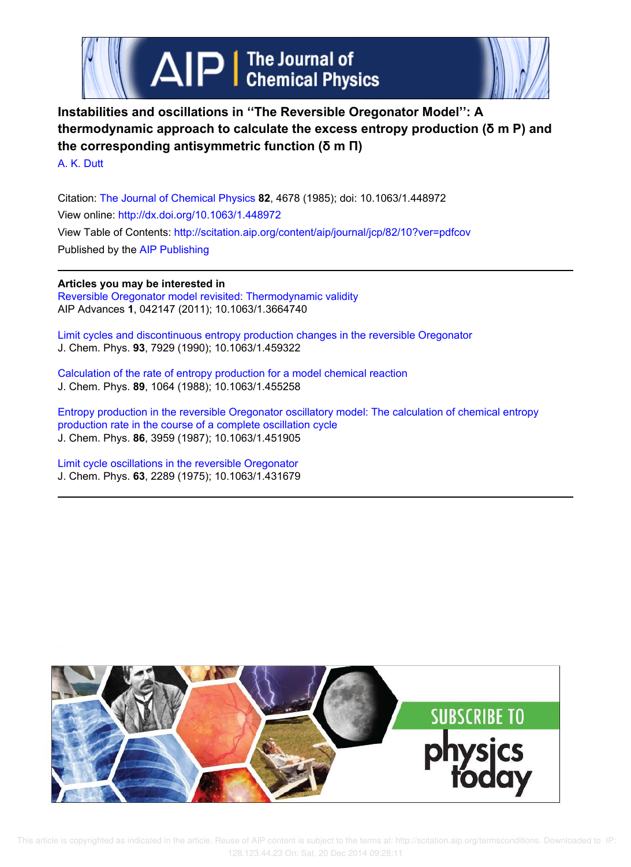



**Instabilities and oscillations in ''The Reversible Oregonator Model'': A thermodynamic approach to calculate the excess entropy production (δ m P) and the corresponding antisymmetric function (δ m Π)**

A. K. Dutt

Citation: The Journal of Chemical Physics **82**, 4678 (1985); doi: 10.1063/1.448972 View online: http://dx.doi.org/10.1063/1.448972 View Table of Contents: http://scitation.aip.org/content/aip/journal/jcp/82/10?ver=pdfcov Published by the AIP Publishing

## **Articles you may be interested in**

Reversible Oregonator model revisited: Thermodynamic validity AIP Advances **1**, 042147 (2011); 10.1063/1.3664740

Limit cycles and discontinuous entropy production changes in the reversible Oregonator J. Chem. Phys. **93**, 7929 (1990); 10.1063/1.459322

Calculation of the rate of entropy production for a model chemical reaction J. Chem. Phys. **89**, 1064 (1988); 10.1063/1.455258

Entropy production in the reversible Oregonator oscillatory model: The calculation of chemical entropy production rate in the course of a complete oscillation cycle J. Chem. Phys. **86**, 3959 (1987); 10.1063/1.451905

Limit cycle oscillations in the reversible Oregonator J. Chem. Phys. **63**, 2289 (1975); 10.1063/1.431679

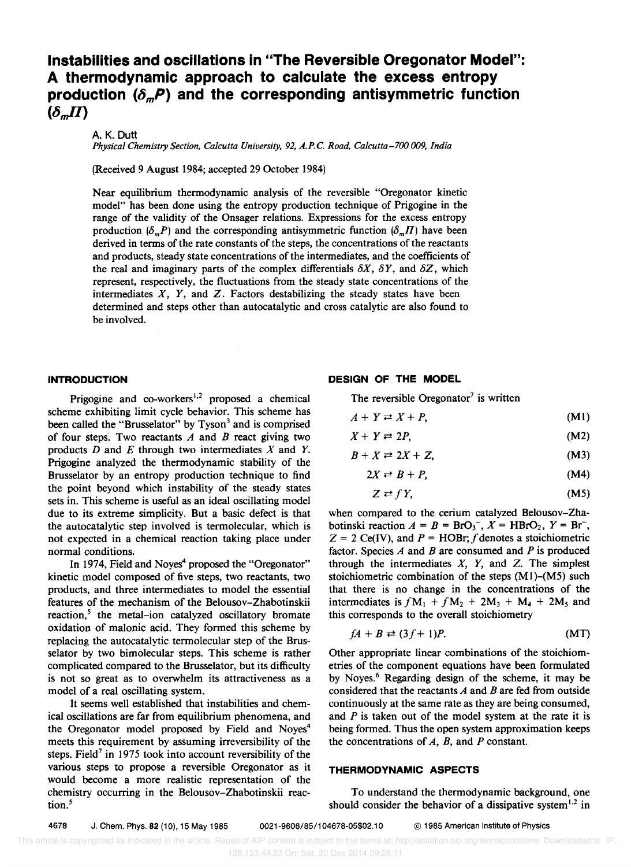# **Instabilities and oscillations in "The Reversible Oregonator Model": A thermodynamic approach to calculate the excess entropy**  production  $(\delta_m P)$  and the corresponding antisymmetric function  $(\delta_m \Pi)$

A.K.Dutt

*Physical Chemistry Section, Calcutta University,* 92, *A.P.e. Road, Calcutta-700 009, India* 

(Received 9 August 1984; accepted 29 October 1984)

Near equilibrium thermodynamic analysis of the reversible "Oregonator kinetic model" has been done using the entropy production technique of Prigogine in the range of the validity of the Onsager relations. Expressions for the excess entropy production  $(\delta_m P)$  and the corresponding antisymmetric function  $(\delta_m \Pi)$  have been derived in terms of the rate constants of the steps, the concentrations of the reactants and products, steady state concentrations of the intermediates, and the coefficients of the real and imaginary parts of the complex differentials  $\delta X$ ,  $\delta Y$ , and  $\delta Z$ , which represent, respectively, the fluctuations from the steady state concentrations of the intermediates  $X$ ,  $Y$ , and  $Z$ . Factors destabilizing the steady states have been determined and steps other than autocatalytic and cross catalytic are also found to be involved.

## **INTRODUCTION**

Prigogine and co-workers<sup>1,2</sup> proposed a chemical scheme exhibiting limit cycle behavior. This scheme has been called the "Brusselator" by Tyson<sup>3</sup> and is comprised of four steps: Two reactants *A* and *B* react giving two products *D* and *E* through two intermediates *X* and *Y.*  Prigogine analyzed the thermodynamic stability of the Brusselator by an entropy production technique to find the point beyond which instability of the steady states sets in. This scheme is useful as an ideal oscillating model due to its extreme simplicity. But a basic defect is that the autocatalytic step involved is termolecular, which is not expected in a chemical reaction taking place under normal conditions.

In 1974, Field and Noyes<sup>4</sup> proposed the "Oregonator" kinetic model composed of five steps, two reactants, two products, and three intermediates to model the essential features of the mechanism of the Belousov-Zhabotinskii reaction,<sup>5</sup> the metal-ion catalyzed oscillatory bromate oxidation of malonic acid. They formed this scheme by replacing the autocatalytic termolecular step of the Brusselator by two bimolecular steps. This scheme is rather complicated compared to the Brusselator, but its difficulty is not so great as to overwhelm its attractiveness as a model of a real oscillating system.

It seems well established that instabilities and chemical oscillations are far from equilibrium phenomena, and the Oregonator model proposed by Field and Noyes<sup>4</sup> meets this requirement by assuming irreversibility of the steps. Field<sup>7</sup> in 1975 took into account reversibility of the various steps to propose a reversible Oregonator as it would become a more realistic representation of the chemistry occurring in the Belousov-Zhabotinskii reaction.<sup>5</sup>

## **DESIGN OF THE MODEL**

The reversible Oregonator<sup>7</sup> is written

 $A + Y \rightleftharpoons X + P$ , (Ml)

$$
X + Y \rightleftarrows 2P, \tag{M2}
$$

$$
B + X \rightleftarrows 2X + Z, \tag{M3}
$$

$$
2X \rightleftarrows B + P, \tag{M4}
$$

$$
Z \rightleftarrows fY, \tag{M5}
$$

when compared to the cerium catalyzed Belousov-Zhabotinski reaction  $A = B = BrO<sub>3</sub>^-$ ,  $X = HBrO<sub>2</sub>$ ,  $Y = Br<sup>-</sup>$ ,  $Z = 2$  Ce(IV), and  $P = HOBr$ ; f denotes a stoichiometric factor. Species *A* and *B* are consumed and *P* is produced through the intermediates  $X$ ,  $Y$ , and  $Z$ . The simplest stoichiometric combination of the steps  $(M1)-(M5)$  such that there is no change in the concentrations of the intermediates is  $fM_1 + fM_2 + 2M_3 + M_4 + 2M_5$  and this corresponds to the overall stoichiometry

$$
fA + B \rightleftarrows (3f + 1)P. \tag{MT}
$$

Other appropriate linear combinations of the stoichiometries of the component equations have been formulated by Noyes.<sup>6</sup> Regarding design of the scheme, it may be considered that the reactants *A* and *B* are fed from outside continuously at the same rate as they are being consumed, and *P* is taken out of the model system at the rate it is being formed. Thus the open system approximation keeps the concentrations of  $A$ ,  $B$ , and  $P$  constant.

## **THERMODYNAMIC ASPECTS**

To understand the thermodynamic background, one should consider the behavior of a dissipative system<sup>1,2</sup> in

4678 J. Chem. Phys. 82 (10), 15 May 1985 0021-9606/85/104678-05\$02.10 © 1985 American Institute of Physics

This article is copyrighted as indicated in the article. Reuse of AIP content is subject to the terms at: http://scitation.aip.org/termsconditions. Downloaded to IP: 128.123.44.23 On: Sat, 20 Dec 2014 09:28:11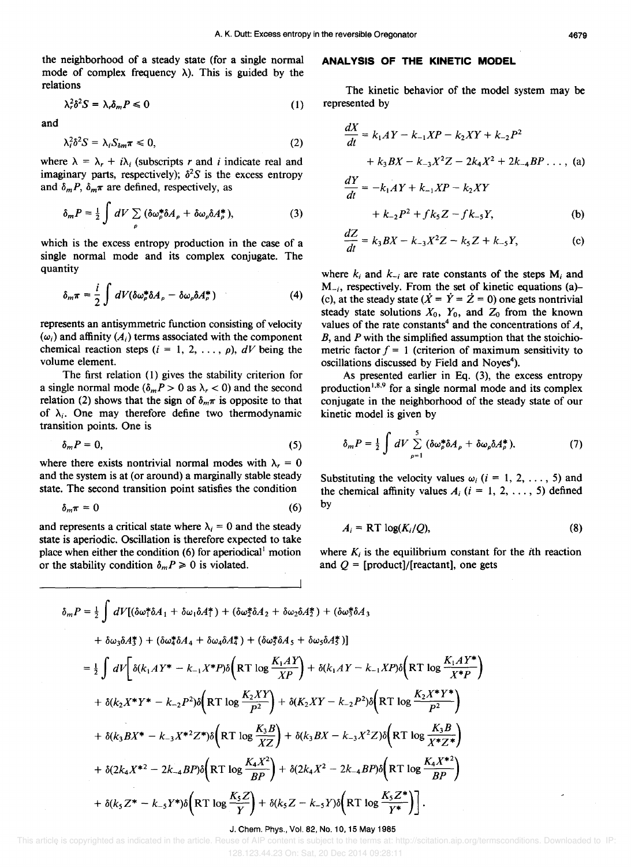the neighborhood of a steady state (for a single normal mode of complex frequency  $\lambda$ ). This is guided by the relations

$$
\lambda_r^2 \delta^2 S = \lambda_r \delta_m P \leq 0 \tag{1}
$$

and

$$
\lambda_i^2 \delta^2 S = \lambda_i S_{\delta m} \pi \leq 0, \tag{2}
$$

where  $\lambda = \lambda_r + i\lambda_i$  (subscripts r and i indicate real and imaginary parts, respectively);  $\delta^2 S$  is the excess entropy and  $\delta_m P$ ,  $\delta_m \pi$  are defined, respectively, as

$$
\delta_m P = \frac{1}{2} \int dV \sum_{\rho} (\delta \omega_{\rho}^* \delta A_{\rho} + \delta \omega_{\rho} \delta A_{\rho}^*), \tag{3}
$$

which is the excess entropy production in the case of a single normal mode and its complex conjugate. The quantity

$$
\delta_m \pi = \frac{i}{2} \int dV (\delta \omega_\rho^* \delta A_\rho - \delta \omega_\rho \delta A_\rho^*)
$$
 (4)

represents an antisymmetric function consisting of velocity  $(\omega_i)$  and affinity  $(A_i)$  terms associated with the component chemical reaction steps  $(i = 1, 2, ..., \rho)$ ,  $dV$  being the volume element.

The first relation (1) gives the stability criterion for a single normal mode  $(\delta_m P > 0$  as  $\lambda_r < 0$ ) and the second relation (2) shows that the sign of  $\delta_m \pi$  is opposite to that of  $\lambda_i$ . One may therefore define two thermodynamic transition points. One is

$$
\delta_m P = 0,\tag{5}
$$

where there exists nontrivial normal modes with  $\lambda_r = 0$ and the system is at (or around) a marginally stable steady state. The second transition point satisfies the condition

$$
\delta_m \pi = 0 \tag{6}
$$

and represents a critical state where  $\lambda_i = 0$  and the steady state is aperiodic. Oscillation is therefore expected to take place when either the condition (6) for aperiodical' motion or the stability condition  $\delta_m P \geq 0$  is violated.

### **ANALYSIS OF THE KINETIC MODEL**

The kinetic behavior of the model system may be represented by

$$
\frac{dX}{dt} = k_1AY - k_{-1}XP - k_2XY + k_{-2}P^2
$$
  
+  $k_3BX - k_{-3}X^2Z - 2k_4X^2 + 2k_{-4}BP \dots$ , (a)  

$$
\frac{dY}{dt} = -k_1AY + k_{-1}XP - k_2XY
$$
  
+  $k_{-2}P^2 + f k_5Z - f k_{-5}Y$ , (b)

$$
\frac{dZ}{dt} = k_3 BX - k_{-3}X^2Z - k_5Z + k_{-5}Y,\tag{c}
$$

where  $k_i$  and  $k_{-i}$  are rate constants of the steps  $M_i$  and  $M_{-i}$ , respectively. From the set of kinetic equations (a)-(c), at the steady state  $(\dot{X} = \dot{Y} = \dot{Z} = 0)$  one gets nontrivial steady state solutions  $X_0$ ,  $Y_0$ , and  $Z_0$  from the known values of the rate constants<sup>4</sup> and the concentrations of  $A$ , B, and P with the simplified assumption that the stoichiometric factor  $f = 1$  (criterion of maximum sensitivity to oscillations discussed by Field and Noyes<sup>4</sup>).

As presented earlier in Eq. (3), the excess entropy production<sup>1,8,9</sup> for a single normal mode and its complex conjugate in the neighborhood of the steady state of our kinetic model is given by

$$
\delta_m P = \frac{1}{2} \int dV \sum_{\rho=1}^5 (\delta \omega_\rho^* \delta A_\rho + \delta \omega_\rho \delta A_\rho^*).
$$
 (7)

Substituting the velocity values  $\omega_i$  (i = 1, 2, ..., 5) and the chemical affinity values  $A_i$  ( $i = 1, 2, ..., 5$ ) defined by

$$
A_i = RT \log(K_i/Q), \tag{8}
$$

where  $K_i$  is the equilibrium constant for the *i*th reaction and  $Q =$  [product]/[reactant], one gets

$$
\delta_{m}P = \frac{1}{2} \int dV [(\delta \omega_{1}^{*}\delta A_{1} + \delta \omega_{1} \delta A_{1}^{*}) + (\delta \omega_{2}^{*}\delta A_{2} + \delta \omega_{2} \delta A_{2}^{*}) + (\delta \omega_{3}^{*}\delta A_{3} + \delta \omega_{3} \delta A_{3}^{*}) + (\delta \omega_{4}^{*}\delta A_{4} + \delta \omega_{4} \delta A_{4}^{*}) + (\delta \omega_{3}^{*}\delta A_{5} + \delta \omega_{3} \delta A_{5}^{*})]
$$
  
\n
$$
= \frac{1}{2} \int dV \left[ \delta(k_{1}AY^{*} - k_{-1}X^{*}P)\delta \left( RT \log \frac{K_{1}AY}{XP} \right) + \delta(k_{1}AY - k_{-1}XP)\delta \left( RT \log \frac{K_{1}AY^{*}}{X^{*}P} \right) \right.
$$
  
\n
$$
+ \delta(k_{2}X^{*}Y^{*} - k_{-2}P^{2})\delta \left( RT \log \frac{K_{2}XY}{P^{2}} \right) + \delta(K_{2}XY - k_{-2}P^{2})\delta \left( RT \log \frac{K_{2}X^{*}Y^{*}}{P^{2}} \right)
$$
  
\n
$$
+ \delta(k_{3}BX^{*} - k_{-3}X^{*2}Z^{*})\delta \left( RT \log \frac{K_{3}B}{XZ} \right) + \delta(k_{3}BX - k_{-3}X^{2}Z)\delta \left( RT \log \frac{K_{3}B}{X^{*}Z^{*}} \right)
$$
  
\n
$$
+ \delta(2k_{4}X^{*2} - 2k_{-4}BP)\delta \left( RT \log \frac{K_{4}X^{2}}{BP} \right) + \delta(2k_{4}X^{2} - 2k_{-4}BP)\delta \left( RT \log \frac{K_{4}X^{*2}}{BP} \right)
$$
  
\n
$$
+ \delta(k_{5}Z^{*} - k_{-5}Y^{*})\delta \left( RT \log \frac{K_{5}Z}{Y} \right) + \delta(k_{5}Z - k_{-5}Y)\delta \left( RT \log \frac{K_{5}Z^{*}}{Y^{*}} \right).
$$

#### J. Chern. Phys., Vol. 82, No. 10, 15 May 1985

This article is copyrighted as indicated in the article. Reuse of AIP content is subject to the terms at: http://scitation.aip.org/termsconditions. Downloaded to IP:

128.123.44.23 On: Sat, 20 Dec 2014 09:28:11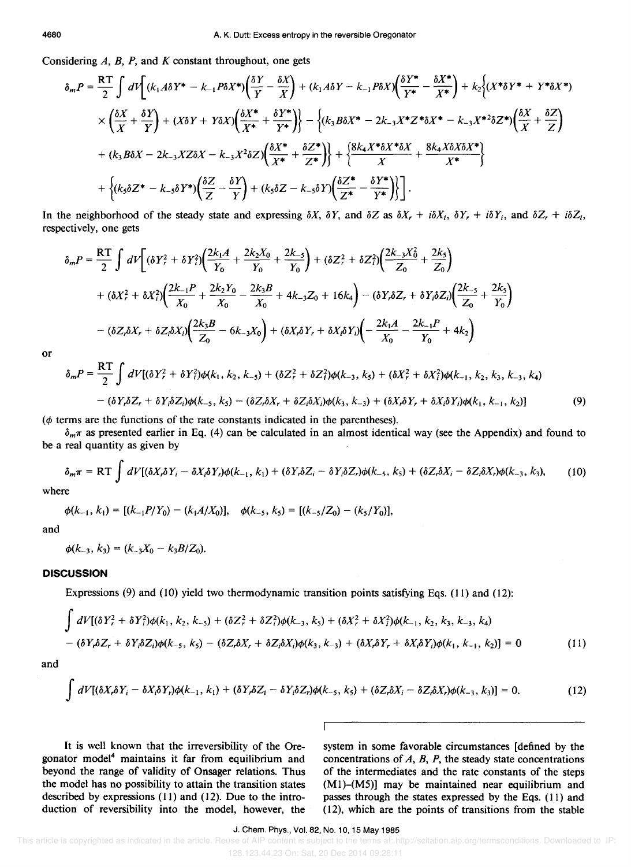Considering  $A$ ,  $B$ ,  $P$ , and  $K$  constant throughout, one gets

$$
\delta_m P = \frac{RT}{2} \int dV \left[ (k_1 A \delta Y^* - k_{-1} P \delta X^*) \left( \frac{\delta Y}{Y} - \frac{\delta X}{X} \right) + (k_1 A \delta Y - k_{-1} P \delta X) \left( \frac{\delta Y^*}{Y^*} - \frac{\delta X^*}{X^*} \right) + k_2 \left( (X^* \delta Y^* + Y^* \delta X^*) \right) \times \left( \frac{\delta X}{X} + \frac{\delta Y}{Y} \right) + (X \delta Y + Y \delta X) \left( \frac{\delta X^*}{X^*} + \frac{\delta Y^*}{Y^*} \right) \right\} - \left\{ (k_3 B \delta X^* - 2k_{-3} X^* Z^* \delta X^* - k_{-3} X^* \delta Z^*) \left( \frac{\delta X}{X} + \frac{\delta Z}{Z} \right) \right\} \times \left\{ (k_3 B \delta X^* - 2k_{-3} X^* Z^* \delta X^* - k_{-3} X^* \delta Z^*) \left( \frac{\delta X^*}{X^*} + \frac{\delta Z^*}{Z^*} \right) \right\} + \left\{ \frac{8k_4 X^* \delta X^* \delta X}{X} + \frac{8k_4 X \delta X \delta X^*}{X^*} \right\} \times \left\{ (k_3 \delta Z^* - k_{-3} \delta Y^*) \left( \frac{\delta Z}{Z} - \frac{\delta Y}{Y} \right) + (k_3 \delta Z - k_{-3} \delta Y) \left( \frac{\delta Z^*}{Z^*} - \frac{\delta Y^*}{Y^*} \right) \right\} \right].
$$

In the neighborhood of the steady state and expressing  $\delta X$ ,  $\delta Y$ , and  $\delta Z$  as  $\delta X$ ,  $+ i\delta X$ ,  $\delta Y$ ,  $+ i\delta Y$ , and  $\delta Z$ ,  $+ i\delta Z$ , respectively, one gets

$$
\delta_m P = \frac{RT}{2} \int dV \left[ (\delta Y_r^2 + \delta Y_i^2) \left( \frac{2k_1 A}{Y_0} + \frac{2k_2 X_0}{Y_0} + \frac{2k_5}{Y_0} \right) + (\delta Z_r^2 + \delta Z_i^2) \left( \frac{2k_3 X_0^2}{Z_0} + \frac{2k_5}{Z_0} \right) \right.
$$
  
+  $(\delta X_r^2 + \delta X_i^2) \left( \frac{2k_{-1}P}{X_0} + \frac{2k_2 Y_0}{X_0} - \frac{2k_3 B}{X_0} + 4k_{-3} Z_0 + 16k_4 \right) - (\delta Y_r \delta Z_r + \delta Y_i \delta Z_i) \left( \frac{2k_{-5}}{Z_0} + \frac{2k_5}{Y_0} \right)$   
-  $(\delta Z_r \delta X_r + \delta Z_i \delta X_i) \left( \frac{2k_3 B}{Z_0} - 6k_{-3} X_0 \right) + (\delta X_r \delta Y_r + \delta X_i \delta Y_i) \left( -\frac{2k_{1} A}{X_0} - \frac{2k_{-1} P}{Y_0} + 4k_2 \right)$ 

 $or$ 

$$
\delta_m P = \frac{RT}{2} \int dV [(\delta Y_r^2 + \delta Y_i^2) \phi(k_1, k_2, k_{-5}) + (\delta Z_r^2 + \delta Z_i^2) \phi(k_{-3}, k_5) + (\delta X_r^2 + \delta X_i^2) \phi(k_{-1}, k_2, k_3, k_{-3}, k_4) - (\delta Y_r \delta Z_r + \delta Y_i \delta Z_i) \phi(k_{-5}, k_5) - (\delta Z_r \delta X_r + \delta Z_i \delta X_i) \phi(k_3, k_{-3}) + (\delta X_r \delta Y_r + \delta X_i \delta Y_i) \phi(k_1, k_{-1}, k_2)
$$
(9)

 $(\phi$  terms are the functions of the rate constants indicated in the parentheses).

 $\delta_m \pi$  as presented earlier in Eq. (4) can be calculated in an almost identical way (see the Appendix) and found to be a real quantity as given by

$$
\delta_m \pi = RT \int dV [(\delta X_i \delta Y_i - \delta X_i \delta Y_i) \phi(k_{-1}, k_1) + (\delta Y_i \delta Z_i - \delta Y_i \delta Z_i) \phi(k_{-5}, k_5) + (\delta Z_i \delta X_i - \delta Z_i \delta X_i) \phi(k_{-3}, k_3), \tag{10}
$$

where

$$
\phi(k_{-1}, k_1) = [(k_{-1}P/Y_0) - (k_1A/X_0)], \quad \phi(k_{-5}, k_5) = [(k_{-5}/Z_0) - (k_5/Y_0)],
$$

and

 $\phi(k_{-3}, k_3) = (k_{-3}X_0 - k_3B/Z_0).$ 

## **DISCUSSION**

Expressions  $(9)$  and  $(10)$  yield two thermodynamic transition points satisfying Eqs.  $(11)$  and  $(12)$ :

$$
\int dV [(\delta Y_r^2 + \delta Y_i^2) \phi(k_1, k_2, k_{-5}) + (\delta Z_r^2 + \delta Z_i^2) \phi(k_{-3}, k_5) + (\delta X_r^2 + \delta X_i^2) \phi(k_{-1}, k_2, k_3, k_{-3}, k_4) \n- (\delta Y_r \delta Z_r + \delta Y_r \delta Z_i) \phi(k_{-5}, k_5) - (\delta Z_r \delta X_r + \delta Z_i \delta X_i) \phi(k_3, k_{-3}) + (\delta X_r \delta Y_r + \delta X_i \delta Y_i) \phi(k_1, k_{-1}, k_2) = 0
$$
\n(11)

and

$$
\int dV[(\delta X_i \delta Y_i - \delta X_i \delta Y_i)\phi(k_{-1}, k_1) + (\delta Y_i \delta Z_i - \delta Y_i \delta Z_i)\phi(k_{-5}, k_5) + (\delta Z_i \delta X_i - \delta Z_i \delta X_i)\phi(k_{-3}, k_3)] = 0.
$$
 (12)

Е

It is well known that the irreversibility of the Oregonator model<sup>4</sup> maintains it far from equilibrium and beyond the range of validity of Onsager relations. Thus the model has no possibility to attain the transition states described by expressions (11) and (12). Due to the introduction of reversibility into the model, however, the system in some favorable circumstances (defined by the concentrations of  $A$ ,  $B$ ,  $P$ , the steady state concentrations of the intermediates and the rate constants of the steps (M1)-(M5)] may be maintained near equilibrium and passes through the states expressed by the Eqs. (11) and (12), which are the points of transitions from the stable

J. Chem. Phys., Vol. 82, No. 10, 15 May 1985

128.123.44.23 On: Sat, 20 Dec 2014 09:28:11

This article is copyrighted as indicated in the article. Reuse of AIP content is subject to the terms at: http://scitation.aip.org/termsconditions. Downloaded to IP: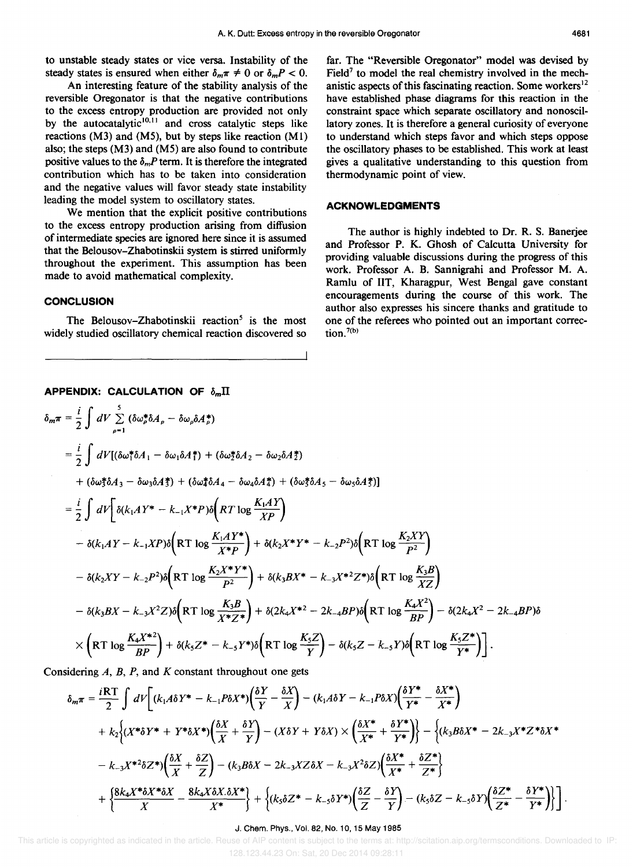An interesting feature of the stability analysis of the reversible Oregonator is that the negative contributions to the excess entropy production are provided not only by the autocatalytic $10,11$  and cross catalytic steps like reactions  $(M3)$  and  $(M5)$ , but by steps like reaction  $(M1)$ also; the steps (M3) and (M5) are also found to contribute positive values to the  $\delta_m P$  term. It is therefore the integrated contribution which has to be taken into consideration and the negative values will favor steady state instability leading the model system to oscillatory states.

We mention that the explicit positive contributions to the excess entropy production arising from diffusion of intermediate species are ignored here since it is assumed that the Belousov-Zhabotinskii system is stirred uniformly throughout the experiment. This assumption has been made to avoid mathematical complexity.

## **CONCLUSION**

The Belousov-Zhabotinskii reaction<sup>5</sup> is the most widely studied oscillatory chemical reaction discovered so far. The "Reversible Oregonator" model was devised by Field<sup>7</sup> to model the real chemistry involved in the mechanistic aspects of this fascinating reaction. Some workers $12$ have established phase diagrams for this reaction in the constraint space which separate oscillatory and nonoscillatory zones. It is therefore a general curiosity of everyone to understand which steps favor and which steps oppose the oscillatory phases to be established. This work at least gives a qualitative understanding to this question from thermodynamic point of view.

## **ACKNOWLEDGMENTS**

The author is highly indebted to Dr. R. S. Banerjee and Professor P. K. Ghosh of Calcutta University for providing valuable discussions during the progress of this work. Professor A. B. Sannigrahi and Professor M. A. Ramlu of lIT, Kharagpur, West Bengal gave constant encouragements during the course of this work. The author also expresses his sincere thanks and gratitude to one of the referees who pointed out an important correction. $7(b)$ 

APPENDIX: CALCULATION OF 
$$
\delta_m \Pi
$$
  
\n
$$
\delta_m \pi = \frac{i}{2} \int dV \sum_{\rho=1}^5 (\delta \omega_{\rho}^* \delta A_{\rho} - \delta \omega_{\rho} \delta A_{\rho}^*)
$$
\n
$$
= \frac{i}{2} \int dV [(\delta \omega_{1}^* \delta A_{1} - \delta \omega_{1} \delta A_{1}^*) + (\delta \omega_{2}^* \delta A_{2} - \delta \omega_{2} \delta A_{2}^*)
$$
\n
$$
+ (\delta \omega_{3}^* \delta A_{3} - \delta \omega_{3} \delta A_{3}^*) + (\delta \omega_{4}^* \delta A_{4} - \delta \omega_{4} \delta A_{4}^*) + (\delta \omega_{3}^* \delta A_{5} - \delta \omega_{5} \delta A_{3}^*)]
$$
\n
$$
= \frac{i}{2} \int dV \left[ \delta (k_{1} A Y^* - k_{-1} X^* P) \delta \left( RT \log \frac{K_{1} A Y}{XP} \right) - \delta (k_{1} A Y - k_{-1} X P) \delta \left( RT \log \frac{K_{1} A Y^*}{X^* P} \right) + \delta (k_{2} X^* Y^* - k_{-2} P^2) \delta \left( RT \log \frac{K_{1} A Y^*}{X^* P} \right)
$$

$$
- \delta(k_1AY - k_{-1}XP)\delta\left(RT \log \frac{-(k_1XY^*)}{X^*P}\right) + \delta(k_2X^*Y^* - k_{-2}P^2)\delta\left(RT \log \frac{-(k_2X^*)}{P^2}\right)
$$
  

$$
- \delta(k_2XY - k_{-2}P^2)\delta\left(RT \log \frac{K_2X^*Y^*}{P^2}\right) + \delta(k_3BX^* - k_{-3}X^{*2}Z^*)\delta\left(RT \log \frac{K_3B}{XZ}\right)
$$
  

$$
- \delta(k_3BX - k_{-3}X^2Z)\delta\left(RT \log \frac{K_3B}{X^*Z^*}\right) + \delta(2k_4X^{*2} - 2k_{-4}BP)\delta\left(RT \log \frac{K_4X^2}{BP}\right) - \delta(2k_4X^2 - 2k_{-4}BP)\delta
$$
  

$$
\times \left(RT \log \frac{K_4X^{*2}}{BP}\right) + \delta(k_5Z^* - k_{-5}Y^*)\delta\left(RT \log \frac{K_5Z}{Y}\right) - \delta(k_5Z - k_{-5}Y)\delta\left(RT \log \frac{K_5Z^*}{Y^*}\right).
$$

Considering  $A$ ,  $B$ ,  $P$ , and  $K$  constant throughout one gets

$$
\delta_{m}\pi = \frac{iRT}{2} \int dV \left[ (k_{1}A\delta Y^{*} - k_{-1}P\delta X^{*}) \left( \frac{\delta Y}{Y} - \frac{\delta X}{X} \right) - (k_{1}A\delta Y - k_{-1}P\delta X) \left( \frac{\delta Y^{*}}{Y^{*}} - \frac{\delta X^{*}}{X^{*}} \right) \right]
$$
  
+  $k_{2} \left\{ (X^{*}\delta Y^{*} + Y^{*}\delta X^{*}) \left( \frac{\delta X}{X} + \frac{\delta Y}{Y} \right) - (X\delta Y + Y\delta X) \times \left( \frac{\delta X^{*}}{X^{*}} + \frac{\delta Y^{*}}{Y^{*}} \right) \right\} - \left\{ (k_{3}B\delta X^{*} - 2k_{-3}X^{*}Z^{*}\delta X^{*} \right\}$   
-  $k_{-3}X^{*2}\delta Z^{*} \left( \frac{\delta X}{X} + \frac{\delta Z}{Z} \right) - (k_{3}B\delta X - 2k_{-3}XZ\delta X - k_{-3}X^{2}\delta Z) \left( \frac{\delta X^{*}}{X^{*}} + \frac{\delta Z^{*}}{Z^{*}} \right\}$   
+  $\left\{ \frac{8k_{4}X^{*}\delta X^{*}\delta X}{X} - \frac{8k_{4}X\delta X \delta X^{*}}{X^{*}} \right\} + \left\{ (k_{5}\delta Z^{*} - k_{-5}\delta Y^{*}) \left( \frac{\delta Z}{Z} - \frac{\delta Y}{Y} \right) - (k_{5}\delta Z - k_{-5}\delta Y) \left( \frac{\delta Z^{*}}{Z^{*}} - \frac{\delta Y^{*}}{Y^{*}} \right) \right\} \right].$ 

#### J. Chem. Phys., Vol. 82, No. 10,15 May 1985

 This article is copyrighted as indicated in the article. Reuse of AIP content is subject to the terms at: http://scitation.aip.org/termsconditions. Downloaded to IP: 128.123.44.23 On: Sat, 20 Dec 2014 09:28:11